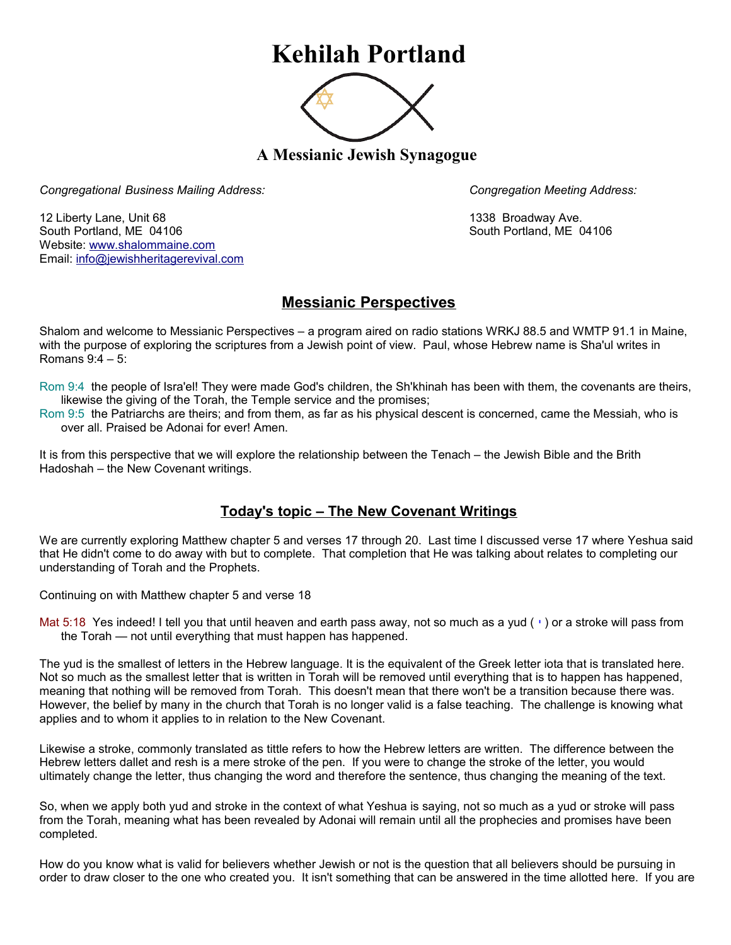## **Kehilah Portland**



**A Messianic Jewish Synagogue** 

*Congregational Business Mailing Address: Congregation Meeting Address:*

12 Liberty Lane, Unit 68 1338 Broadway Ave. South Portland, ME 04106 South Portland, ME 04106 Website: [www.shalommaine.com](http://www.shalommaine.com/) Email: [info@jewishheritagerevival.com](mailto:info@jewishheritagerevival.com) 

## **Messianic Perspectives**

Shalom and welcome to Messianic Perspectives – a program aired on radio stations WRKJ 88.5 and WMTP 91.1 in Maine, with the purpose of exploring the scriptures from a Jewish point of view. Paul, whose Hebrew name is Sha'ul writes in Romans 9:4 – 5:

- Rom 9:4 the people of Isra'el! They were made God's children, the Sh'khinah has been with them, the covenants are theirs, likewise the giving of the Torah, the Temple service and the promises;
- Rom 9:5 the Patriarchs are theirs; and from them, as far as his physical descent is concerned, came the Messiah, who is over all. Praised be Adonai for ever! Amen.

It is from this perspective that we will explore the relationship between the Tenach – the Jewish Bible and the Brith Hadoshah – the New Covenant writings.

## **Today's topic – The New Covenant Writings**

We are currently exploring Matthew chapter 5 and verses 17 through 20. Last time I discussed verse 17 where Yeshua said that He didn't come to do away with but to complete. That completion that He was talking about relates to completing our understanding of Torah and the Prophets.

Continuing on with Matthew chapter 5 and verse 18

Mat 5:18 Yes indeed! I tell you that until heaven and earth pass away, not so much as a yud  $( \cdot )$  or a stroke will pass from the Torah — not until everything that must happen has happened.

The yud is the smallest of letters in the Hebrew language. It is the equivalent of the Greek letter iota that is translated here. Not so much as the smallest letter that is written in Torah will be removed until everything that is to happen has happened, meaning that nothing will be removed from Torah. This doesn't mean that there won't be a transition because there was. However, the belief by many in the church that Torah is no longer valid is a false teaching. The challenge is knowing what applies and to whom it applies to in relation to the New Covenant.

Likewise a stroke, commonly translated as tittle refers to how the Hebrew letters are written. The difference between the Hebrew letters dallet and resh is a mere stroke of the pen. If you were to change the stroke of the letter, you would ultimately change the letter, thus changing the word and therefore the sentence, thus changing the meaning of the text.

So, when we apply both yud and stroke in the context of what Yeshua is saying, not so much as a yud or stroke will pass from the Torah, meaning what has been revealed by Adonai will remain until all the prophecies and promises have been completed.

How do you know what is valid for believers whether Jewish or not is the question that all believers should be pursuing in order to draw closer to the one who created you. It isn't something that can be answered in the time allotted here. If you are